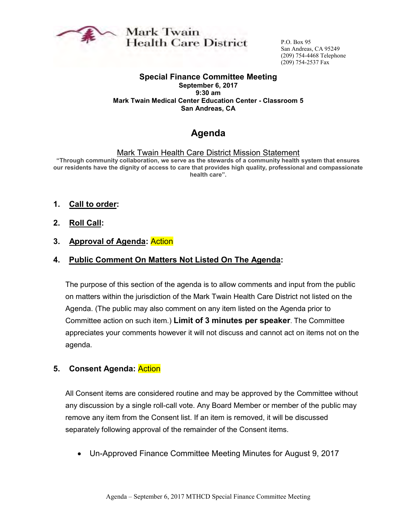

Mark Twain **Health Care District** 

P.O. Box 95 San Andreas, CA 95249 (209) 754-4468 Telephone (209) 754-2537 Fax

#### **Special Finance Committee Meeting September 6, 2017**

**9:30 am Mark Twain Medical Center Education Center - Classroom 5 San Andreas, CA**

# **Agenda**

#### Mark Twain Health Care District Mission Statement

**"Through community collaboration, we serve as the stewards of a community health system that ensures our residents have the dignity of access to care that provides high quality, professional and compassionate health care".** 

- **1. Call to order:**
- **2. Roll Call:**

#### **3. Approval of Agenda:** Action

#### **4. Public Comment On Matters Not Listed On The Agenda:**

The purpose of this section of the agenda is to allow comments and input from the public on matters within the jurisdiction of the Mark Twain Health Care District not listed on the Agenda. (The public may also comment on any item listed on the Agenda prior to Committee action on such item.) **Limit of 3 minutes per speaker**. The Committee appreciates your comments however it will not discuss and cannot act on items not on the agenda.

### **5. Consent Agenda:** Action

All Consent items are considered routine and may be approved by the Committee without any discussion by a single roll-call vote. Any Board Member or member of the public may remove any item from the Consent list. If an item is removed, it will be discussed separately following approval of the remainder of the Consent items.

• Un-Approved Finance Committee Meeting Minutes for August 9, 2017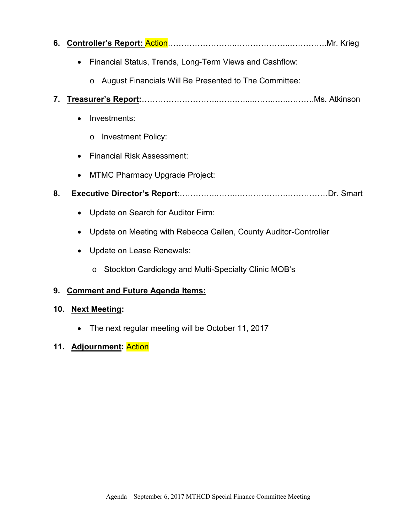| 6. |                                                                       |
|----|-----------------------------------------------------------------------|
|    | Financial Status, Trends, Long-Term Views and Cashflow:<br>$\bullet$  |
|    | August Financials Will Be Presented to The Committee:<br>$\circ$      |
| 7. |                                                                       |
|    | Investments:<br>$\bullet$                                             |
|    | <b>Investment Policy:</b><br>$\circ$                                  |
|    | <b>Financial Risk Assessment:</b><br>$\bullet$                        |
|    | <b>MTMC Pharmacy Upgrade Project:</b><br>٠                            |
| 8. |                                                                       |
|    | Update on Search for Auditor Firm:<br>$\bullet$                       |
|    | Update on Meeting with Rebecca Callen, County Auditor-Controller<br>٠ |
|    | <b>Update on Lease Renewals:</b><br>$\bullet$                         |
|    | Stockton Cardiology and Multi-Specialty Clinic MOB's<br>$\circ$       |

# **9. Comment and Future Agenda Items:**

## **10. Next Meeting:**

• The next regular meeting will be October 11, 2017

# **11. Adjournment:** Action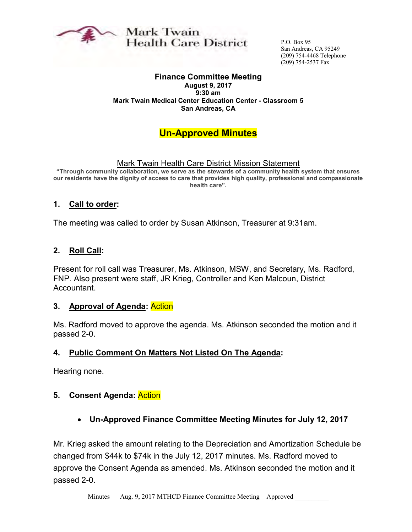

Mark Twain **Health Care District** 

P.O. Box 95 San Andreas, CA 95249 (209) 754-4468 Telephone (209) 754-2537 Fax

# **Finance Committee Meeting**

**August 9, 2017 9:30 am Mark Twain Medical Center Education Center - Classroom 5 San Andreas, CA**

# **Un-Approved Minutes**

Mark Twain Health Care District Mission Statement

**"Through community collaboration, we serve as the stewards of a community health system that ensures our residents have the dignity of access to care that provides high quality, professional and compassionate health care".** 

### **1. Call to order:**

The meeting was called to order by Susan Atkinson, Treasurer at 9:31am.

#### **2. Roll Call:**

Present for roll call was Treasurer, Ms. Atkinson, MSW, and Secretary, Ms. Radford, FNP. Also present were staff, JR Krieg, Controller and Ken Malcoun, District Accountant.

#### **3. Approval of Agenda:** Action

Ms. Radford moved to approve the agenda. Ms. Atkinson seconded the motion and it passed 2-0.

#### **4. Public Comment On Matters Not Listed On The Agenda:**

Hearing none.

### **5. Consent Agenda:** Action

• **Un-Approved Finance Committee Meeting Minutes for July 12, 2017** 

Mr. Krieg asked the amount relating to the Depreciation and Amortization Schedule be changed from \$44k to \$74k in the July 12, 2017 minutes. Ms. Radford moved to approve the Consent Agenda as amended. Ms. Atkinson seconded the motion and it passed 2-0.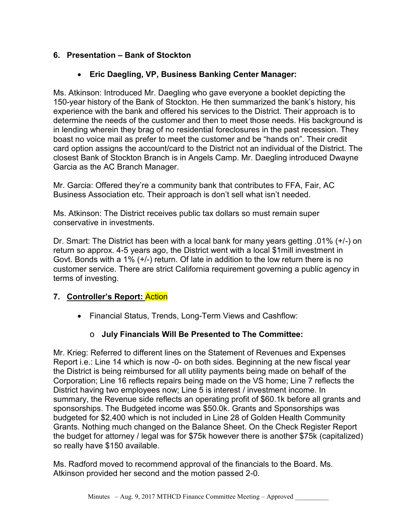## **6. Presentation – Bank of Stockton**

### • **Eric Daegling, VP, Business Banking Center Manager:**

Ms. Atkinson: Introduced Mr. Daegling who gave everyone a booklet depicting the 150-year history of the Bank of Stockton. He then summarized the bank's history, his experience with the bank and offered his services to the District. Their approach is to determine the needs of the customer and then to meet those needs. His background is in lending wherein they brag of no residential foreclosures in the past recession. They boast no voice mail as prefer to meet the customer and be "hands on". Their credit card option assigns the account/card to the District not an individual of the District. The closest Bank of Stockton Branch is in Angels Camp. Mr. Daegling introduced Dwayne Garcia as the AC Branch Manager.

Mr. Garcia: Offered they're a community bank that contributes to FFA, Fair, AC Business Association etc. Their approach is don't sell what isn't needed.

Ms. Atkinson: The District receives public tax dollars so must remain super conservative in investments.

Dr. Smart: The District has been with a local bank for many years getting .01% (+/-) on return so approx. 4-5 years ago, the District went with a local \$1mill investment in Govt. Bonds with a 1% (+/-) return. Of late in addition to the low return there is no customer service. There are strict California requirement governing a public agency in terms of investing.

### **7. Controller's Report:** Action

• Financial Status, Trends, Long-Term Views and Cashflow:

# o **July Financials Will Be Presented to The Committee:**

Mr. Krieg: Referred to different lines on the Statement of Revenues and Expenses Report i.e.: Line 14 which is now -0- on both sides. Beginning at the new fiscal year the District is being reimbursed for all utility payments being made on behalf of the Corporation; Line 16 reflects repairs being made on the VS home; Line 7 reflects the District having two employees now; Line 5 is interest / investment income. In summary, the Revenue side reflects an operating profit of \$60.1k before all grants and sponsorships. The Budgeted income was \$50.0k. Grants and Sponsorships was budgeted for \$2,400 which is not included in Line 28 of Golden Health Community Grants. Nothing much changed on the Balance Sheet. On the Check Register Report the budget for attorney / legal was for \$75k however there is another \$75k (capitalized) so really have \$150 available.

Ms. Radford moved to recommend approval of the financials to the Board. Ms. Atkinson provided her second and the motion passed 2-0.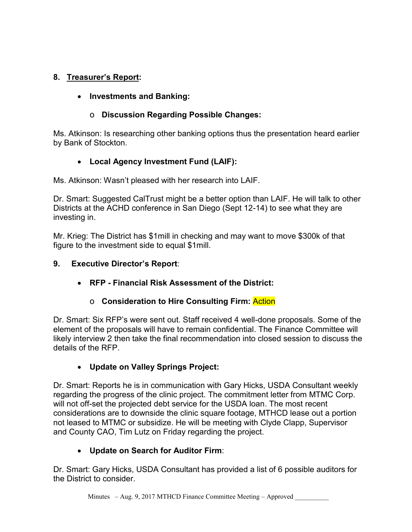# **8. Treasurer's Report:**

## • **Investments and Banking:**

## o **Discussion Regarding Possible Changes:**

Ms. Atkinson: Is researching other banking options thus the presentation heard earlier by Bank of Stockton.

# • **Local Agency Investment Fund (LAIF):**

Ms. Atkinson: Wasn't pleased with her research into LAIF.

Dr. Smart: Suggested CalTrust might be a better option than LAIF. He will talk to other Districts at the ACHD conference in San Diego (Sept 12-14) to see what they are investing in.

Mr. Krieg: The District has \$1mill in checking and may want to move \$300k of that figure to the investment side to equal \$1mill.

### **9. Executive Director's Report**:

• **RFP - Financial Risk Assessment of the District:**

# o **Consideration to Hire Consulting Firm:** Action

Dr. Smart: Six RFP's were sent out. Staff received 4 well-done proposals. Some of the element of the proposals will have to remain confidential. The Finance Committee will likely interview 2 then take the final recommendation into closed session to discuss the details of the RFP.

# • **Update on Valley Springs Project:**

Dr. Smart: Reports he is in communication with Gary Hicks, USDA Consultant weekly regarding the progress of the clinic project. The commitment letter from MTMC Corp. will not off-set the projected debt service for the USDA loan. The most recent considerations are to downside the clinic square footage, MTHCD lease out a portion not leased to MTMC or subsidize. He will be meeting with Clyde Clapp, Supervisor and County CAO, Tim Lutz on Friday regarding the project.

# • **Update on Search for Auditor Firm**:

Dr. Smart: Gary Hicks, USDA Consultant has provided a list of 6 possible auditors for the District to consider.

Minutes – Aug. 9, 2017 MTHCD Finance Committee Meeting – Approved